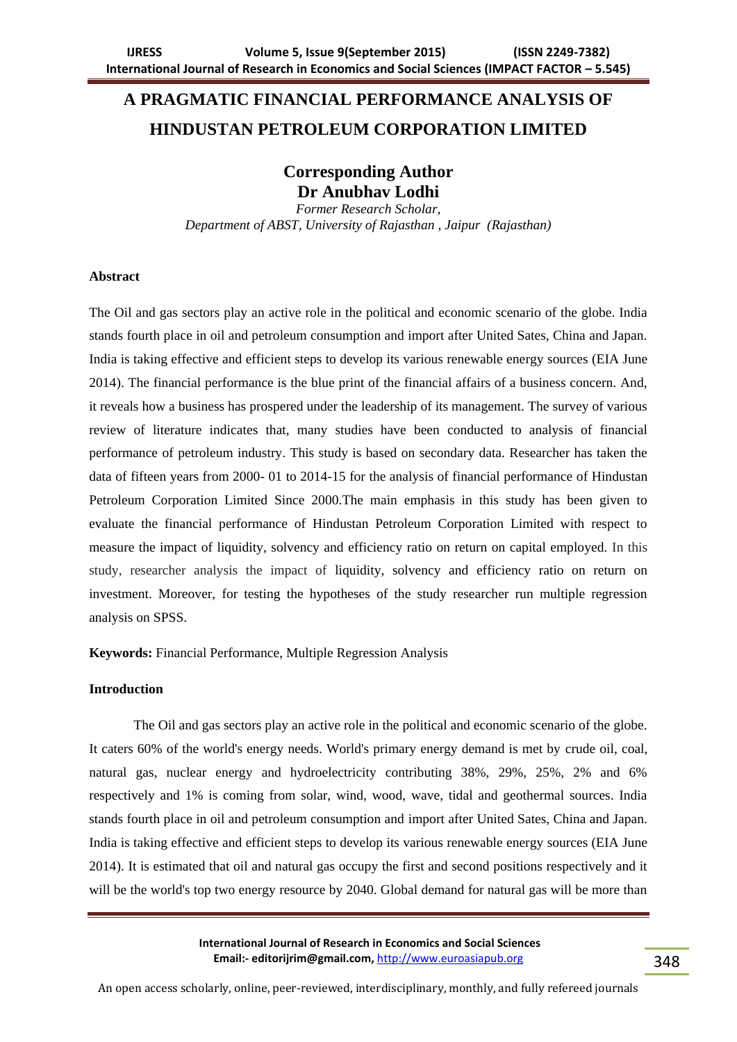# **A PRAGMATIC FINANCIAL PERFORMANCE ANALYSIS OF HINDUSTAN PETROLEUM CORPORATION LIMITED**

**Corresponding Author Dr Anubhav Lodhi**

*Former Research Scholar, Department of ABST, University of Rajasthan , Jaipur (Rajasthan)*

## **Abstract**

The Oil and gas sectors play an active role in the political and economic scenario of the globe. India stands fourth place in oil and petroleum consumption and import after United Sates, China and Japan. India is taking effective and efficient steps to develop its various renewable energy sources (EIA June 2014). The financial performance is the blue print of the financial affairs of a business concern. And, it reveals how a business has prospered under the leadership of its management. The survey of various review of literature indicates that, many studies have been conducted to analysis of financial performance of petroleum industry. This study is based on secondary data. Researcher has taken the data of fifteen years from 2000- 01 to 2014-15 for the analysis of financial performance of Hindustan Petroleum Corporation Limited Since 2000.The main emphasis in this study has been given to evaluate the financial performance of Hindustan Petroleum Corporation Limited with respect to measure the impact of liquidity, solvency and efficiency ratio on return on capital employed. In this study, researcher analysis the impact of liquidity, solvency and efficiency ratio on return on investment. Moreover, for testing the hypotheses of the study researcher run multiple regression analysis on SPSS.

**Keywords:** Financial Performance, Multiple Regression Analysis

# **Introduction**

The Oil and gas sectors play an active role in the political and economic scenario of the globe. It caters 60% of the world's energy needs. World's primary energy demand is met by crude oil, coal, natural gas, nuclear energy and hydroelectricity contributing 38%, 29%, 25%, 2% and 6% respectively and 1% is coming from solar, wind, wood, wave, tidal and geothermal sources. India stands fourth place in oil and petroleum consumption and import after United Sates, China and Japan. India is taking effective and efficient steps to develop its various renewable energy sources (EIA June 2014). It is estimated that oil and natural gas occupy the first and second positions respectively and it will be the world's top two energy resource by 2040. Global demand for natural gas will be more than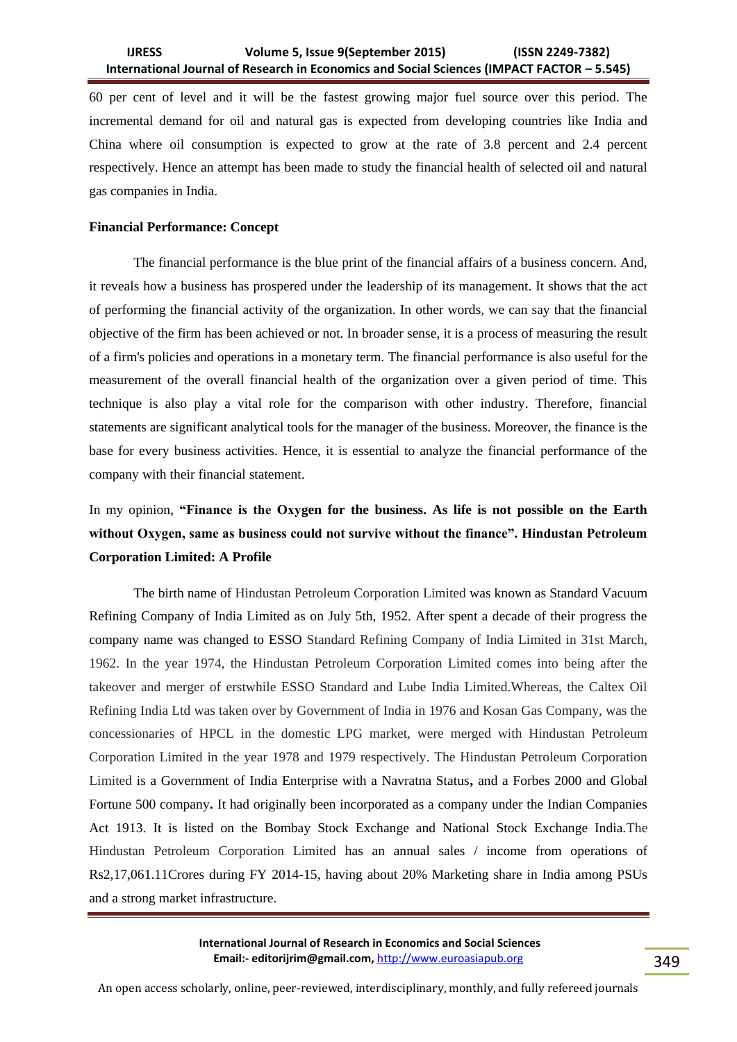60 per cent of level and it will be the fastest growing major fuel source over this period. The incremental demand for oil and natural gas is expected from developing countries like India and China where oil consumption is expected to grow at the rate of 3.8 percent and 2.4 percent respectively. Hence an attempt has been made to study the financial health of selected oil and natural gas companies in India.

# **Financial Performance: Concept**

The financial performance is the blue print of the financial affairs of a business concern. And, it reveals how a business has prospered under the leadership of its management. It shows that the act of performing the financial activity of the organization. In other words, we can say that the financial objective of the firm has been achieved or not. In broader sense, it is a process of measuring the result of a firm's policies and operations in a monetary term. The financial performance is also useful for the measurement of the overall financial health of the organization over a given period of time. This technique is also play a vital role for the comparison with other industry. Therefore, financial statements are significant analytical tools for the manager of the business. Moreover, the finance is the base for every business activities. Hence, it is essential to analyze the financial performance of the company with their financial statement.

# In my opinion, **"Finance is the Oxygen for the business. As life is not possible on the Earth without Oxygen, same as business could not survive without the finance". Hindustan Petroleum Corporation Limited: A Profile**

The birth name of Hindustan Petroleum Corporation Limited was known as Standard Vacuum Refining Company of India Limited as on July 5th, 1952. After spent a decade of their progress the company name was changed to ESSO Standard Refining Company of India Limited in 31st March, 1962. In the year 1974, the Hindustan Petroleum Corporation Limited comes into being after the takeover and merger of erstwhile ESSO Standard and Lube India Limited.Whereas, the Caltex Oil Refining India Ltd was taken over by Government of India in 1976 and Kosan Gas Company, was the concessionaries of HPCL in the domestic LPG market, were merged with Hindustan Petroleum Corporation Limited in the year 1978 and 1979 respectively. The Hindustan Petroleum Corporation Limited is a Government of India Enterprise with a Navratna Status**,** and a Forbes 2000 and Global Fortune 500 company**.** It had originally been incorporated as a company under the Indian Companies Act 1913. It is listed on the Bombay Stock Exchange and National Stock Exchange India.The Hindustan Petroleum Corporation Limited has an annual sales / income from operations of Rs2,17,061.11Crores during FY 2014-15, having about 20% Marketing share in India among PSUs and a strong market infrastructure.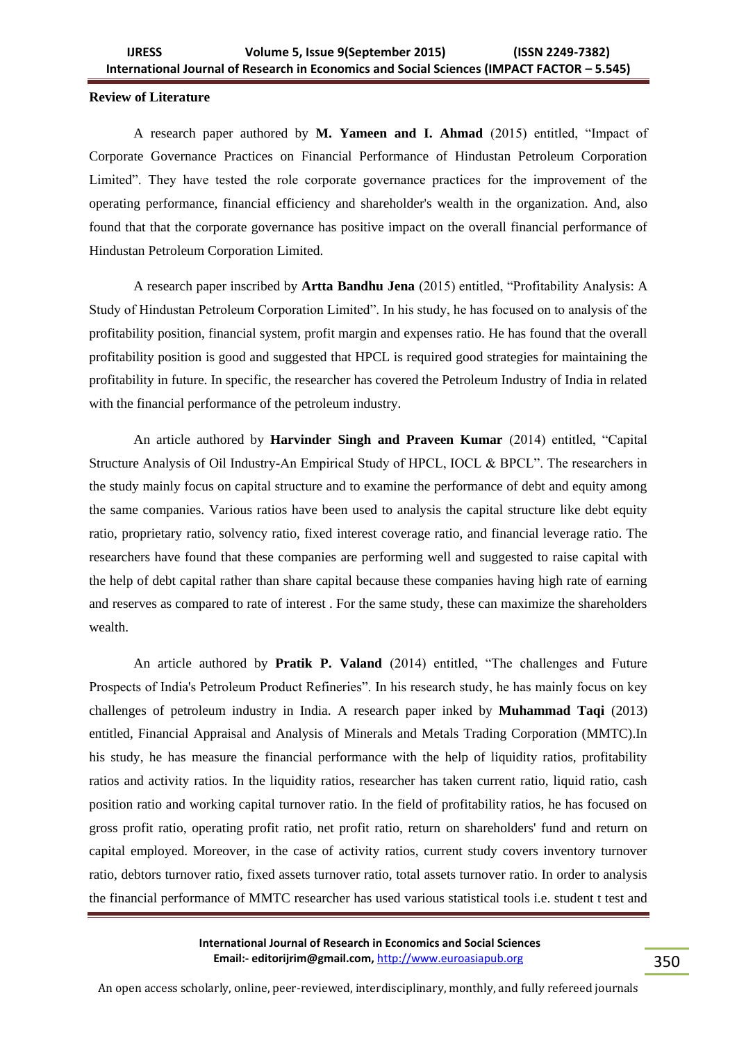### **Review of Literature**

A research paper authored by **M. Yameen and I. Ahmad** (2015) entitled, "Impact of Corporate Governance Practices on Financial Performance of Hindustan Petroleum Corporation Limited". They have tested the role corporate governance practices for the improvement of the operating performance, financial efficiency and shareholder's wealth in the organization. And, also found that that the corporate governance has positive impact on the overall financial performance of Hindustan Petroleum Corporation Limited.

A research paper inscribed by **Artta Bandhu Jena** (2015) entitled, "Profitability Analysis: A Study of Hindustan Petroleum Corporation Limited". In his study, he has focused on to analysis of the profitability position, financial system, profit margin and expenses ratio. He has found that the overall profitability position is good and suggested that HPCL is required good strategies for maintaining the profitability in future. In specific, the researcher has covered the Petroleum Industry of India in related with the financial performance of the petroleum industry.

An article authored by **Harvinder Singh and Praveen Kumar** (2014) entitled, "Capital Structure Analysis of Oil Industry-An Empirical Study of HPCL, IOCL & BPCL". The researchers in the study mainly focus on capital structure and to examine the performance of debt and equity among the same companies. Various ratios have been used to analysis the capital structure like debt equity ratio, proprietary ratio, solvency ratio, fixed interest coverage ratio, and financial leverage ratio. The researchers have found that these companies are performing well and suggested to raise capital with the help of debt capital rather than share capital because these companies having high rate of earning and reserves as compared to rate of interest . For the same study, these can maximize the shareholders wealth.

An article authored by **Pratik P. Valand** (2014) entitled, "The challenges and Future Prospects of India's Petroleum Product Refineries". In his research study, he has mainly focus on key challenges of petroleum industry in India. A research paper inked by **Muhammad Taqi** (2013) entitled, Financial Appraisal and Analysis of Minerals and Metals Trading Corporation (MMTC).In his study, he has measure the financial performance with the help of liquidity ratios, profitability ratios and activity ratios. In the liquidity ratios, researcher has taken current ratio, liquid ratio, cash position ratio and working capital turnover ratio. In the field of profitability ratios, he has focused on gross profit ratio, operating profit ratio, net profit ratio, return on shareholders' fund and return on capital employed. Moreover, in the case of activity ratios, current study covers inventory turnover ratio, debtors turnover ratio, fixed assets turnover ratio, total assets turnover ratio. In order to analysis the financial performance of MMTC researcher has used various statistical tools i.e. student t test and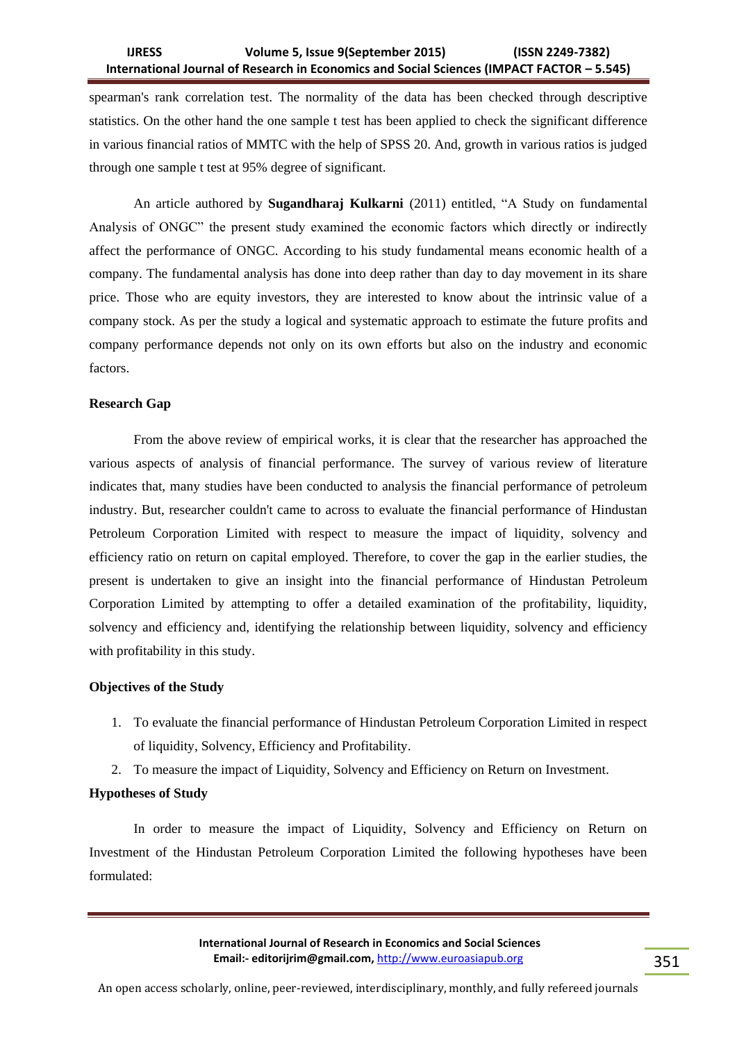spearman's rank correlation test. The normality of the data has been checked through descriptive statistics. On the other hand the one sample t test has been applied to check the significant difference in various financial ratios of MMTC with the help of SPSS 20. And, growth in various ratios is judged through one sample t test at 95% degree of significant.

An article authored by **Sugandharaj Kulkarni** (2011) entitled, "A Study on fundamental Analysis of ONGC" the present study examined the economic factors which directly or indirectly affect the performance of ONGC. According to his study fundamental means economic health of a company. The fundamental analysis has done into deep rather than day to day movement in its share price. Those who are equity investors, they are interested to know about the intrinsic value of a company stock. As per the study a logical and systematic approach to estimate the future profits and company performance depends not only on its own efforts but also on the industry and economic factors.

# **Research Gap**

From the above review of empirical works, it is clear that the researcher has approached the various aspects of analysis of financial performance. The survey of various review of literature indicates that, many studies have been conducted to analysis the financial performance of petroleum industry. But, researcher couldn't came to across to evaluate the financial performance of Hindustan Petroleum Corporation Limited with respect to measure the impact of liquidity, solvency and efficiency ratio on return on capital employed. Therefore, to cover the gap in the earlier studies, the present is undertaken to give an insight into the financial performance of Hindustan Petroleum Corporation Limited by attempting to offer a detailed examination of the profitability, liquidity, solvency and efficiency and, identifying the relationship between liquidity, solvency and efficiency with profitability in this study.

#### **Objectives of the Study**

- 1. To evaluate the financial performance of Hindustan Petroleum Corporation Limited in respect of liquidity, Solvency, Efficiency and Profitability.
- 2. To measure the impact of Liquidity, Solvency and Efficiency on Return on Investment.

# **Hypotheses of Study**

In order to measure the impact of Liquidity, Solvency and Efficiency on Return on Investment of the Hindustan Petroleum Corporation Limited the following hypotheses have been formulated: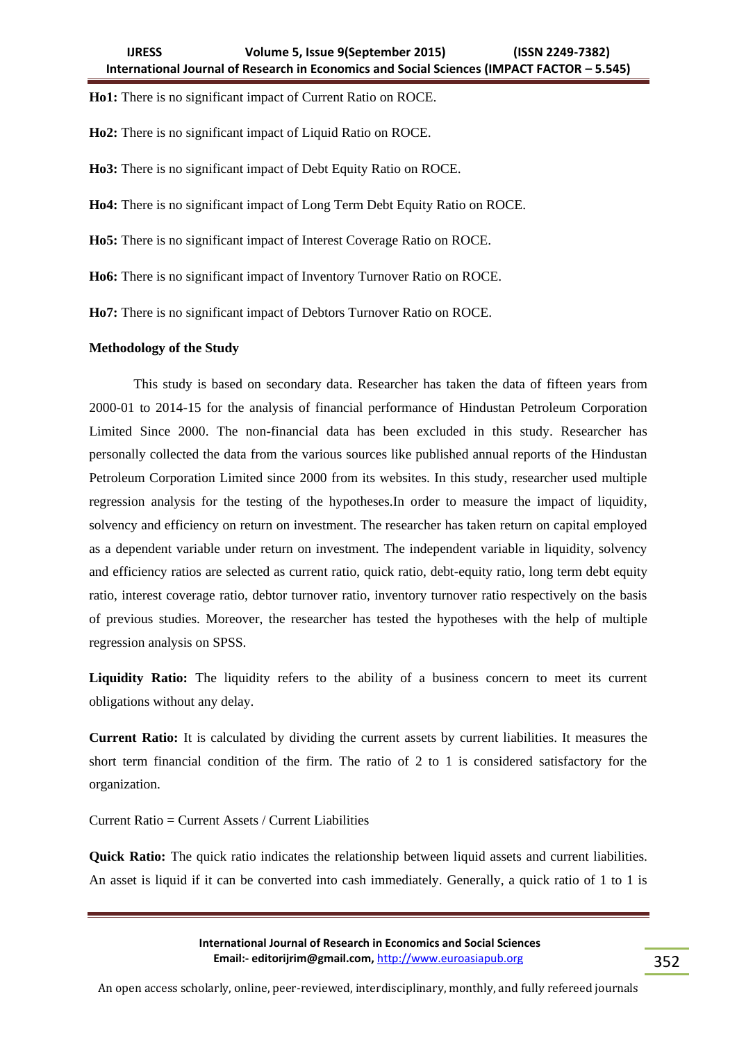**Ho1:** There is no significant impact of Current Ratio on ROCE.

**Ho2:** There is no significant impact of Liquid Ratio on ROCE.

**Ho3:** There is no significant impact of Debt Equity Ratio on ROCE.

**Ho4:** There is no significant impact of Long Term Debt Equity Ratio on ROCE.

**Ho5:** There is no significant impact of Interest Coverage Ratio on ROCE.

**Ho6:** There is no significant impact of Inventory Turnover Ratio on ROCE.

**Ho7:** There is no significant impact of Debtors Turnover Ratio on ROCE.

### **Methodology of the Study**

This study is based on secondary data. Researcher has taken the data of fifteen years from 2000-01 to 2014-15 for the analysis of financial performance of Hindustan Petroleum Corporation Limited Since 2000. The non-financial data has been excluded in this study. Researcher has personally collected the data from the various sources like published annual reports of the Hindustan Petroleum Corporation Limited since 2000 from its websites. In this study, researcher used multiple regression analysis for the testing of the hypotheses.In order to measure the impact of liquidity, solvency and efficiency on return on investment. The researcher has taken return on capital employed as a dependent variable under return on investment. The independent variable in liquidity, solvency and efficiency ratios are selected as current ratio, quick ratio, debt-equity ratio, long term debt equity ratio, interest coverage ratio, debtor turnover ratio, inventory turnover ratio respectively on the basis of previous studies. Moreover, the researcher has tested the hypotheses with the help of multiple regression analysis on SPSS.

**Liquidity Ratio:** The liquidity refers to the ability of a business concern to meet its current obligations without any delay.

**Current Ratio:** It is calculated by dividing the current assets by current liabilities. It measures the short term financial condition of the firm. The ratio of 2 to 1 is considered satisfactory for the organization.

Current Ratio = Current Assets / Current Liabilities

**Quick Ratio:** The quick ratio indicates the relationship between liquid assets and current liabilities. An asset is liquid if it can be converted into cash immediately. Generally, a quick ratio of 1 to 1 is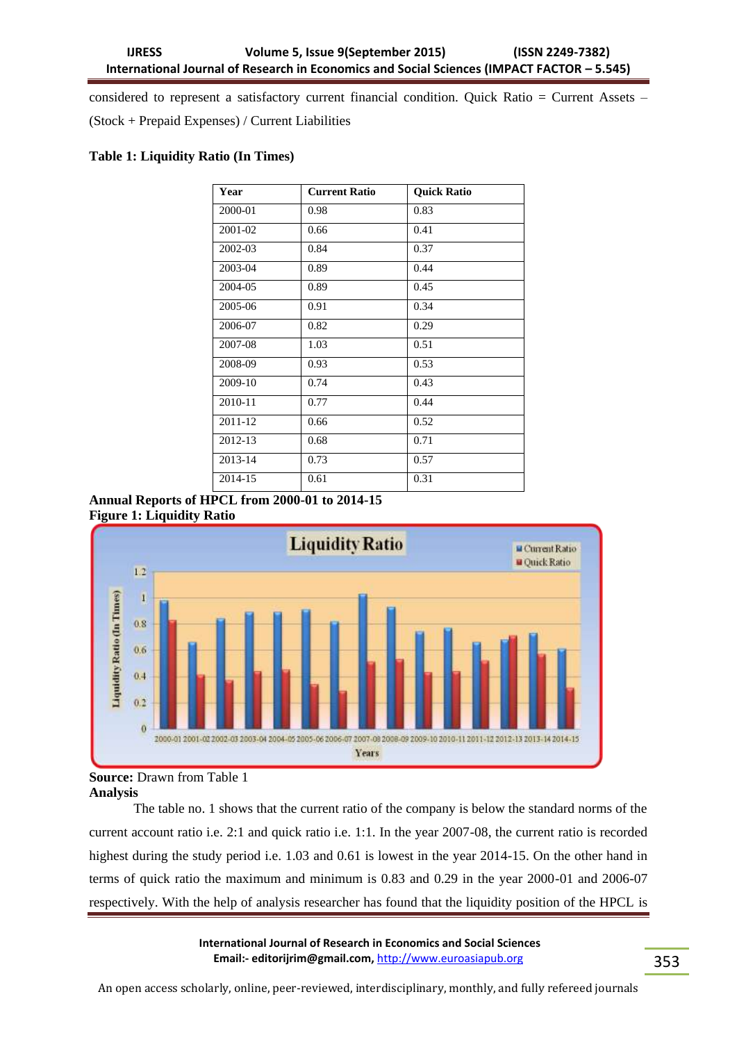considered to represent a satisfactory current financial condition. Quick Ratio = Current Assets – (Stock + Prepaid Expenses) / Current Liabilities

# **Table 1: Liquidity Ratio (In Times)**

| Year    | <b>Current Ratio</b> | <b>Quick Ratio</b> |
|---------|----------------------|--------------------|
| 2000-01 | 0.98                 | 0.83               |
| 2001-02 | 0.66                 | 0.41               |
| 2002-03 | 0.84                 | 0.37               |
| 2003-04 | 0.89                 | 0.44               |
| 2004-05 | 0.89                 | 0.45               |
| 2005-06 | 0.91                 | 0.34               |
| 2006-07 | 0.82                 | 0.29               |
| 2007-08 | 1.03                 | 0.51               |
| 2008-09 | 0.93                 | 0.53               |
| 2009-10 | 0.74                 | 0.43               |
| 2010-11 | 0.77                 | 0.44               |
| 2011-12 | 0.66                 | 0.52               |
| 2012-13 | 0.68                 | 0.71               |
| 2013-14 | 0.73                 | 0.57               |
| 2014-15 | 0.61                 | 0.31               |

**Annual Reports of HPCL from 2000-01 to 2014-15 Figure 1: Liquidity Ratio**



**Source:** Drawn from Table 1 **Analysis** 

The table no. 1 shows that the current ratio of the company is below the standard norms of the current account ratio i.e. 2:1 and quick ratio i.e. 1:1. In the year 2007-08, the current ratio is recorded highest during the study period i.e. 1.03 and 0.61 is lowest in the year 2014-15. On the other hand in terms of quick ratio the maximum and minimum is 0.83 and 0.29 in the year 2000-01 and 2006-07 respectively. With the help of analysis researcher has found that the liquidity position of the HPCL is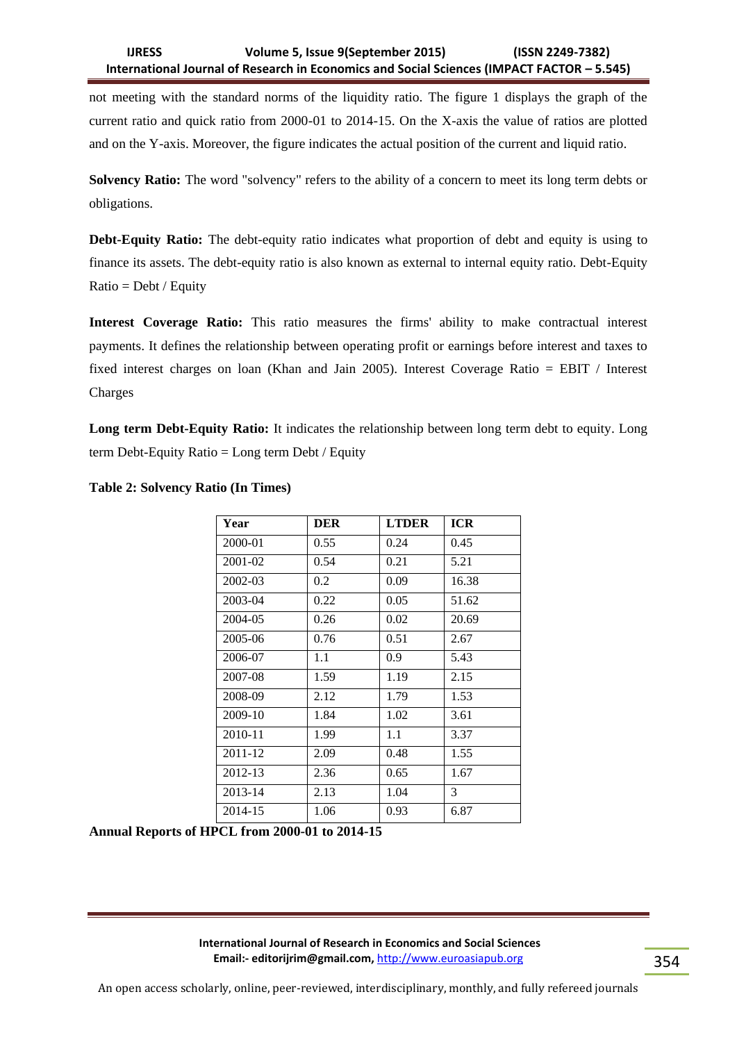not meeting with the standard norms of the liquidity ratio. The figure 1 displays the graph of the current ratio and quick ratio from 2000-01 to 2014-15. On the X-axis the value of ratios are plotted and on the Y-axis. Moreover, the figure indicates the actual position of the current and liquid ratio.

**Solvency Ratio:** The word "solvency" refers to the ability of a concern to meet its long term debts or obligations.

**Debt-Equity Ratio:** The debt-equity ratio indicates what proportion of debt and equity is using to finance its assets. The debt-equity ratio is also known as external to internal equity ratio. Debt-Equity  $Ratio = Debt / Equity$ 

**Interest Coverage Ratio:** This ratio measures the firms' ability to make contractual interest payments. It defines the relationship between operating profit or earnings before interest and taxes to fixed interest charges on loan (Khan and Jain 2005). Interest Coverage Ratio = EBIT / Interest Charges

Long term Debt-Equity Ratio: It indicates the relationship between long term debt to equity. Long term Debt-Equity Ratio = Long term Debt / Equity

| Year    | <b>DER</b> | <b>LTDER</b> | <b>ICR</b> |
|---------|------------|--------------|------------|
| 2000-01 | 0.55       | 0.24         | 0.45       |
| 2001-02 | 0.54       | 0.21         | 5.21       |
| 2002-03 | 0.2        | 0.09         | 16.38      |
| 2003-04 | 0.22       | 0.05         | 51.62      |
| 2004-05 | 0.26       | 0.02         | 20.69      |
| 2005-06 | 0.76       | 0.51         | 2.67       |
| 2006-07 | 1.1        | 0.9          | 5.43       |
| 2007-08 | 1.59       | 1.19         | 2.15       |
| 2008-09 | 2.12       | 1.79         | 1.53       |
| 2009-10 | 1.84       | 1.02         | 3.61       |
| 2010-11 | 1.99       | 1.1          | 3.37       |
| 2011-12 | 2.09       | 0.48         | 1.55       |
| 2012-13 | 2.36       | 0.65         | 1.67       |
| 2013-14 | 2.13       | 1.04         | 3          |
| 2014-15 | 1.06       | 0.93         | 6.87       |

# **Table 2: Solvency Ratio (In Times)**

**Annual Reports of HPCL from 2000-01 to 2014-15**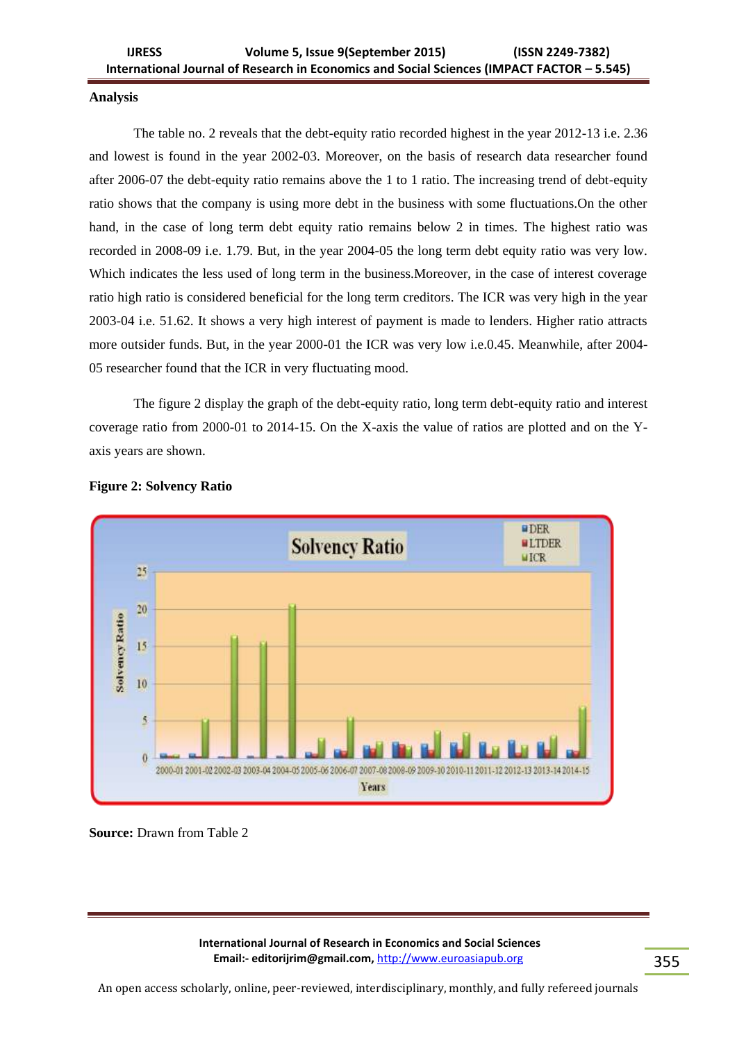### **Analysis**

The table no. 2 reveals that the debt-equity ratio recorded highest in the year 2012-13 i.e. 2.36 and lowest is found in the year 2002-03. Moreover, on the basis of research data researcher found after 2006-07 the debt-equity ratio remains above the 1 to 1 ratio. The increasing trend of debt-equity ratio shows that the company is using more debt in the business with some fluctuations.On the other hand, in the case of long term debt equity ratio remains below 2 in times. The highest ratio was recorded in 2008-09 i.e. 1.79. But, in the year 2004-05 the long term debt equity ratio was very low. Which indicates the less used of long term in the business.Moreover, in the case of interest coverage ratio high ratio is considered beneficial for the long term creditors. The ICR was very high in the year 2003-04 i.e. 51.62. It shows a very high interest of payment is made to lenders. Higher ratio attracts more outsider funds. But, in the year 2000-01 the ICR was very low i.e.0.45. Meanwhile, after 2004- 05 researcher found that the ICR in very fluctuating mood.

The figure 2 display the graph of the debt-equity ratio, long term debt-equity ratio and interest coverage ratio from 2000-01 to 2014-15. On the X-axis the value of ratios are plotted and on the Yaxis years are shown.



#### **Figure 2: Solvency Ratio**

**Source:** Drawn from Table 2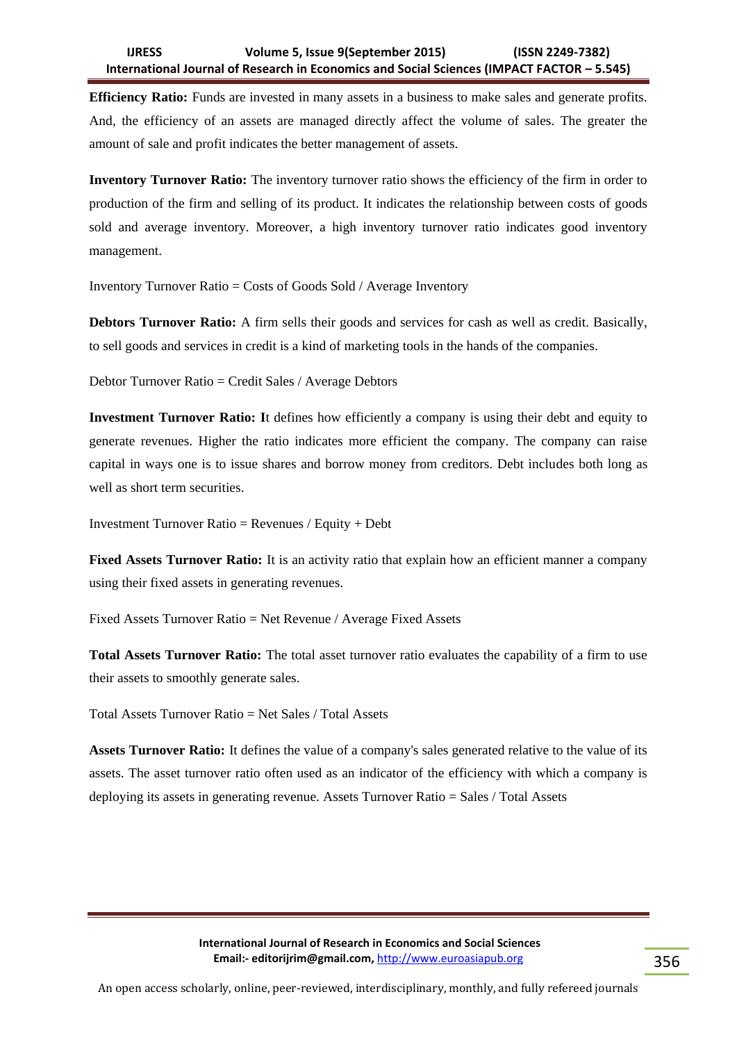**Efficiency Ratio:** Funds are invested in many assets in a business to make sales and generate profits. And, the efficiency of an assets are managed directly affect the volume of sales. The greater the amount of sale and profit indicates the better management of assets.

**Inventory Turnover Ratio:** The inventory turnover ratio shows the efficiency of the firm in order to production of the firm and selling of its product. It indicates the relationship between costs of goods sold and average inventory. Moreover, a high inventory turnover ratio indicates good inventory management.

Inventory Turnover Ratio = Costs of Goods Sold / Average Inventory

**Debtors Turnover Ratio:** A firm sells their goods and services for cash as well as credit. Basically, to sell goods and services in credit is a kind of marketing tools in the hands of the companies.

Debtor Turnover Ratio = Credit Sales / Average Debtors

**Investment Turnover Ratio: I**t defines how efficiently a company is using their debt and equity to generate revenues. Higher the ratio indicates more efficient the company. The company can raise capital in ways one is to issue shares and borrow money from creditors. Debt includes both long as well as short term securities.

Investment Turnover Ratio = Revenues / Equity + Debt

**Fixed Assets Turnover Ratio:** It is an activity ratio that explain how an efficient manner a company using their fixed assets in generating revenues.

Fixed Assets Turnover Ratio = Net Revenue / Average Fixed Assets

**Total Assets Turnover Ratio:** The total asset turnover ratio evaluates the capability of a firm to use their assets to smoothly generate sales.

Total Assets Turnover Ratio = Net Sales / Total Assets

**Assets Turnover Ratio:** It defines the value of a company's sales generated relative to the value of its assets. The asset turnover ratio often used as an indicator of the efficiency with which a company is deploying its assets in generating revenue. Assets Turnover Ratio = Sales / Total Assets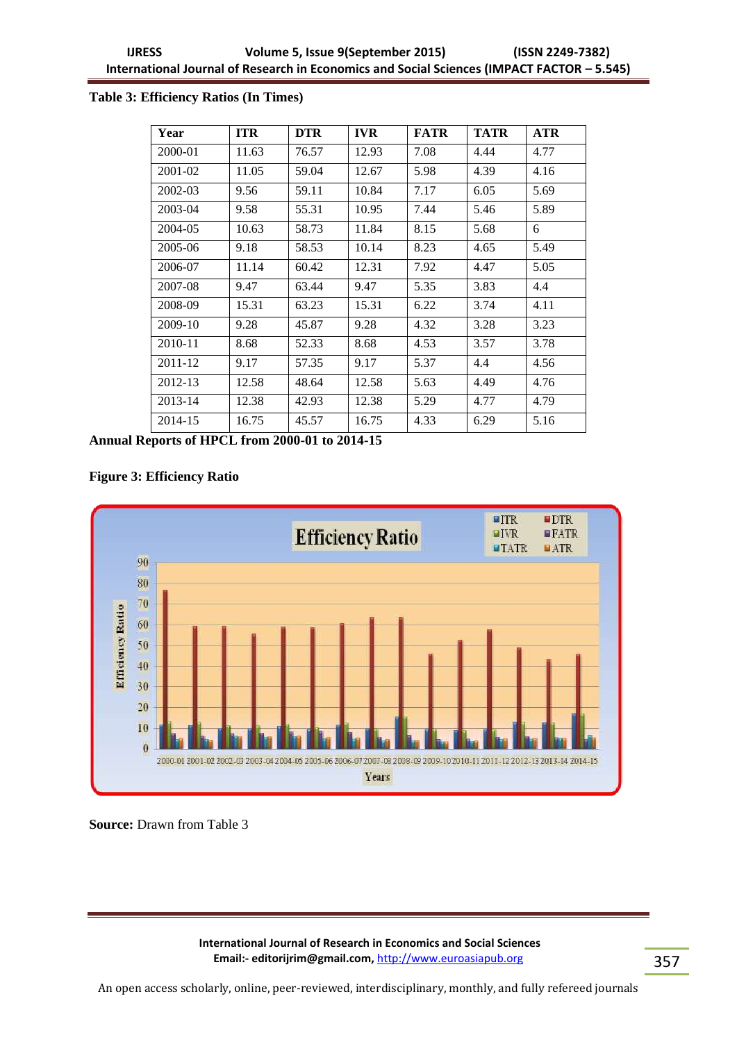# **Table 3: Efficiency Ratios (In Times)**

| Year    | <b>ITR</b> | <b>DTR</b> | <b>IVR</b> | <b>FATR</b> | <b>TATR</b> | <b>ATR</b> |
|---------|------------|------------|------------|-------------|-------------|------------|
| 2000-01 | 11.63      | 76.57      | 12.93      | 7.08        | 4.44        | 4.77       |
| 2001-02 | 11.05      | 59.04      | 12.67      | 5.98        | 4.39        | 4.16       |
| 2002-03 | 9.56       | 59.11      | 10.84      | 7.17        | 6.05        | 5.69       |
| 2003-04 | 9.58       | 55.31      | 10.95      | 7.44        | 5.46        | 5.89       |
| 2004-05 | 10.63      | 58.73      | 11.84      | 8.15        | 5.68        | 6          |
| 2005-06 | 9.18       | 58.53      | 10.14      | 8.23        | 4.65        | 5.49       |
| 2006-07 | 11.14      | 60.42      | 12.31      | 7.92        | 4.47        | 5.05       |
| 2007-08 | 9.47       | 63.44      | 9.47       | 5.35        | 3.83        | 4.4        |
| 2008-09 | 15.31      | 63.23      | 15.31      | 6.22        | 3.74        | 4.11       |
| 2009-10 | 9.28       | 45.87      | 9.28       | 4.32        | 3.28        | 3.23       |
| 2010-11 | 8.68       | 52.33      | 8.68       | 4.53        | 3.57        | 3.78       |
| 2011-12 | 9.17       | 57.35      | 9.17       | 5.37        | 4.4         | 4.56       |
| 2012-13 | 12.58      | 48.64      | 12.58      | 5.63        | 4.49        | 4.76       |
| 2013-14 | 12.38      | 42.93      | 12.38      | 5.29        | 4.77        | 4.79       |
| 2014-15 | 16.75      | 45.57      | 16.75      | 4.33        | 6.29        | 5.16       |

**Annual Reports of HPCL from 2000-01 to 2014-15** 

# **Figure 3: Efficiency Ratio**



**Source: Drawn from Table 3**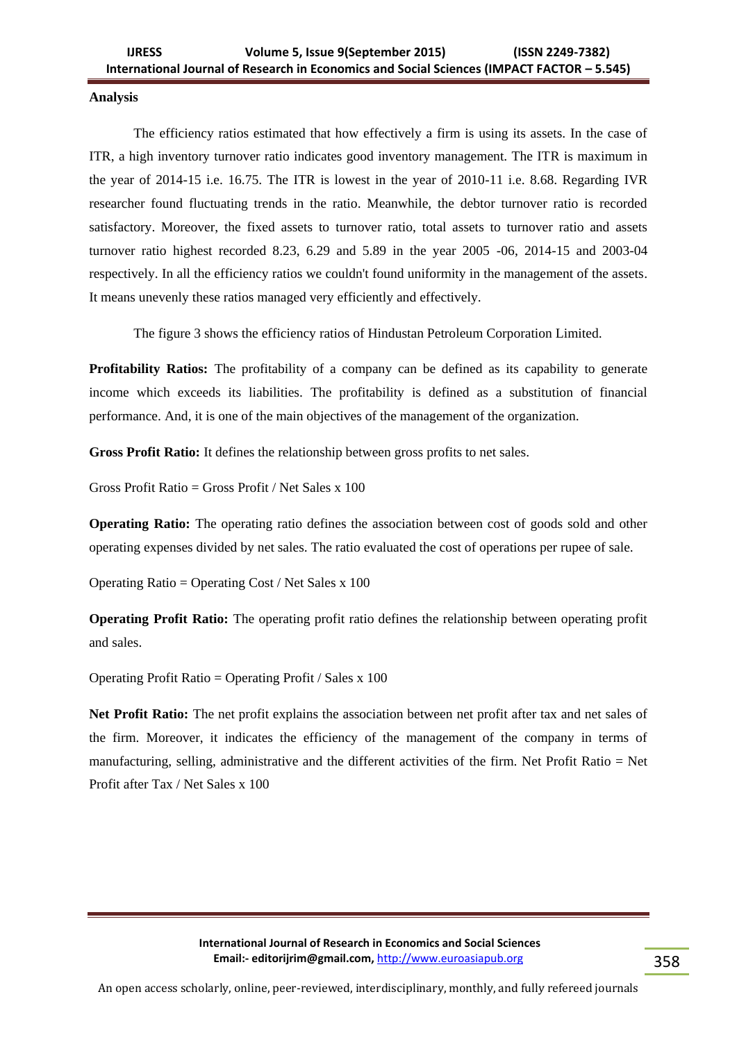### **Analysis**

The efficiency ratios estimated that how effectively a firm is using its assets. In the case of ITR, a high inventory turnover ratio indicates good inventory management. The ITR is maximum in the year of 2014-15 i.e. 16.75. The ITR is lowest in the year of 2010-11 i.e. 8.68. Regarding IVR researcher found fluctuating trends in the ratio. Meanwhile, the debtor turnover ratio is recorded satisfactory. Moreover, the fixed assets to turnover ratio, total assets to turnover ratio and assets turnover ratio highest recorded 8.23, 6.29 and 5.89 in the year 2005 -06, 2014-15 and 2003-04 respectively. In all the efficiency ratios we couldn't found uniformity in the management of the assets. It means unevenly these ratios managed very efficiently and effectively.

The figure 3 shows the efficiency ratios of Hindustan Petroleum Corporation Limited.

**Profitability Ratios:** The profitability of a company can be defined as its capability to generate income which exceeds its liabilities. The profitability is defined as a substitution of financial performance. And, it is one of the main objectives of the management of the organization.

**Gross Profit Ratio:** It defines the relationship between gross profits to net sales.

Gross Profit Ratio = Gross Profit / Net Sales x 100

**Operating Ratio:** The operating ratio defines the association between cost of goods sold and other operating expenses divided by net sales. The ratio evaluated the cost of operations per rupee of sale.

Operating Ratio = Operating Cost / Net Sales x 100

**Operating Profit Ratio:** The operating profit ratio defines the relationship between operating profit and sales.

Operating Profit Ratio = Operating Profit / Sales x 100

**Net Profit Ratio:** The net profit explains the association between net profit after tax and net sales of the firm. Moreover, it indicates the efficiency of the management of the company in terms of manufacturing, selling, administrative and the different activities of the firm. Net Profit Ratio = Net Profit after Tax / Net Sales x 100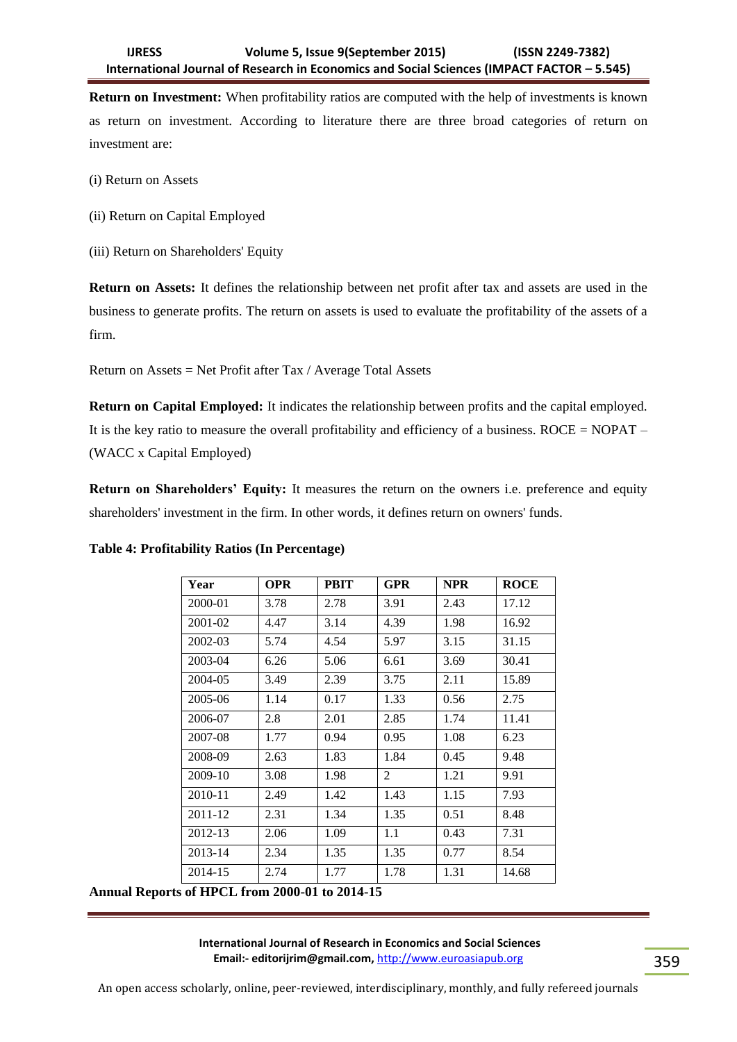**Return on Investment:** When profitability ratios are computed with the help of investments is known as return on investment. According to literature there are three broad categories of return on investment are:

- (i) Return on Assets
- (ii) Return on Capital Employed
- (iii) Return on Shareholders' Equity

**Return on Assets:** It defines the relationship between net profit after tax and assets are used in the business to generate profits. The return on assets is used to evaluate the profitability of the assets of a firm.

Return on Assets = Net Profit after Tax / Average Total Assets

**Return on Capital Employed:** It indicates the relationship between profits and the capital employed. It is the key ratio to measure the overall profitability and efficiency of a business. ROCE = NOPAT – (WACC x Capital Employed)

**Return on Shareholders' Equity:** It measures the return on the owners i.e. preference and equity shareholders' investment in the firm. In other words, it defines return on owners' funds.

| Year                                                                                                                                                                                                                                                                                                                                                                                                                                                                                                  | <b>OPR</b> | <b>PBIT</b> | GPR  | <b>NPR</b> | <b>ROCE</b> |
|-------------------------------------------------------------------------------------------------------------------------------------------------------------------------------------------------------------------------------------------------------------------------------------------------------------------------------------------------------------------------------------------------------------------------------------------------------------------------------------------------------|------------|-------------|------|------------|-------------|
| 2000-01                                                                                                                                                                                                                                                                                                                                                                                                                                                                                               | 3.78       | 2.78        | 3.91 | 2.43       | 17.12       |
| 2001-02                                                                                                                                                                                                                                                                                                                                                                                                                                                                                               | 4.47       | 3.14        | 4.39 | 1.98       | 16.92       |
| 2002-03                                                                                                                                                                                                                                                                                                                                                                                                                                                                                               | 5.74       | 4.54        | 5.97 | 3.15       | 31.15       |
| 2003-04                                                                                                                                                                                                                                                                                                                                                                                                                                                                                               | 6.26       | 5.06        | 6.61 | 3.69       | 30.41       |
| 2004-05                                                                                                                                                                                                                                                                                                                                                                                                                                                                                               | 3.49       | 2.39        | 3.75 | 2.11       | 15.89       |
| 2005-06                                                                                                                                                                                                                                                                                                                                                                                                                                                                                               | 1.14       | 0.17        | 1.33 | 0.56       | 2.75        |
| 2006-07                                                                                                                                                                                                                                                                                                                                                                                                                                                                                               | 2.8        | 2.01        | 2.85 | 1.74       | 11.41       |
| 2007-08                                                                                                                                                                                                                                                                                                                                                                                                                                                                                               | 1.77       | 0.94        | 0.95 | 1.08       | 6.23        |
| 2008-09                                                                                                                                                                                                                                                                                                                                                                                                                                                                                               | 2.63       | 1.83        | 1.84 | 0.45       | 9.48        |
| 2009-10                                                                                                                                                                                                                                                                                                                                                                                                                                                                                               | 3.08       | 1.98        | 2    | 1.21       | 9.91        |
| 2010-11                                                                                                                                                                                                                                                                                                                                                                                                                                                                                               | 2.49       | 1.42        | 1.43 | 1.15       | 7.93        |
| 2011-12                                                                                                                                                                                                                                                                                                                                                                                                                                                                                               | 2.31       | 1.34        | 1.35 | 0.51       | 8.48        |
| 2012-13                                                                                                                                                                                                                                                                                                                                                                                                                                                                                               | 2.06       | 1.09        | 1.1  | 0.43       | 7.31        |
| 2013-14                                                                                                                                                                                                                                                                                                                                                                                                                                                                                               | 2.34       | 1.35        | 1.35 | 0.77       | 8.54        |
| 2014-15<br>$\blacksquare$ $\blacksquare$ $\blacksquare$ $\blacksquare$ $\blacksquare$ $\blacksquare$ $\blacksquare$ $\blacksquare$ $\blacksquare$ $\blacksquare$ $\blacksquare$ $\blacksquare$ $\blacksquare$ $\blacksquare$ $\blacksquare$ $\blacksquare$ $\blacksquare$ $\blacksquare$ $\blacksquare$ $\blacksquare$ $\blacksquare$ $\blacksquare$ $\blacksquare$ $\blacksquare$ $\blacksquare$ $\blacksquare$ $\blacksquare$ $\blacksquare$ $\blacksquare$ $\blacksquare$ $\blacksquare$ $\blacks$ | 2.74       | 1.77        | 1.78 | 1.31       | 14.68       |

# **Table 4: Profitability Ratios (In Percentage)**

**Annual Reports of HPCL from 2000-01 to 2014-15**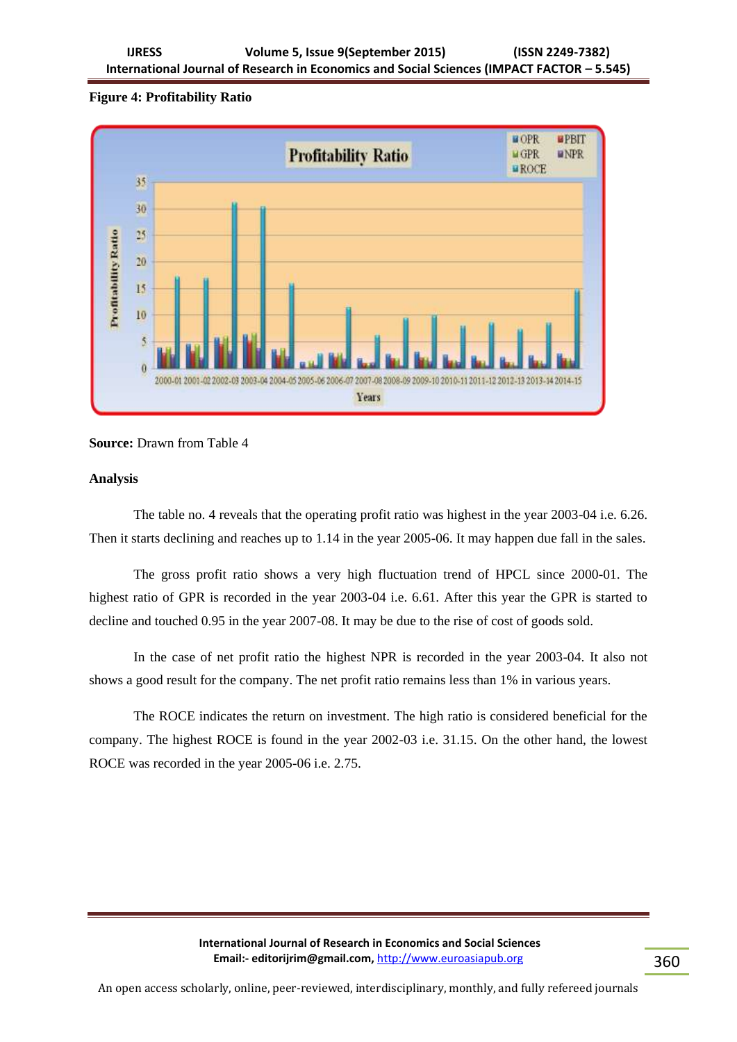# **Figure 4: Profitability Ratio**



# **Source:** Drawn from Table 4

# **Analysis**

The table no. 4 reveals that the operating profit ratio was highest in the year 2003-04 i.e. 6.26. Then it starts declining and reaches up to 1.14 in the year 2005-06. It may happen due fall in the sales.

The gross profit ratio shows a very high fluctuation trend of HPCL since 2000-01. The highest ratio of GPR is recorded in the year 2003-04 i.e. 6.61. After this year the GPR is started to decline and touched 0.95 in the year 2007-08. It may be due to the rise of cost of goods sold.

In the case of net profit ratio the highest NPR is recorded in the year 2003-04. It also not shows a good result for the company. The net profit ratio remains less than 1% in various years.

The ROCE indicates the return on investment. The high ratio is considered beneficial for the company. The highest ROCE is found in the year 2002-03 i.e. 31.15. On the other hand, the lowest ROCE was recorded in the year 2005-06 i.e. 2.75.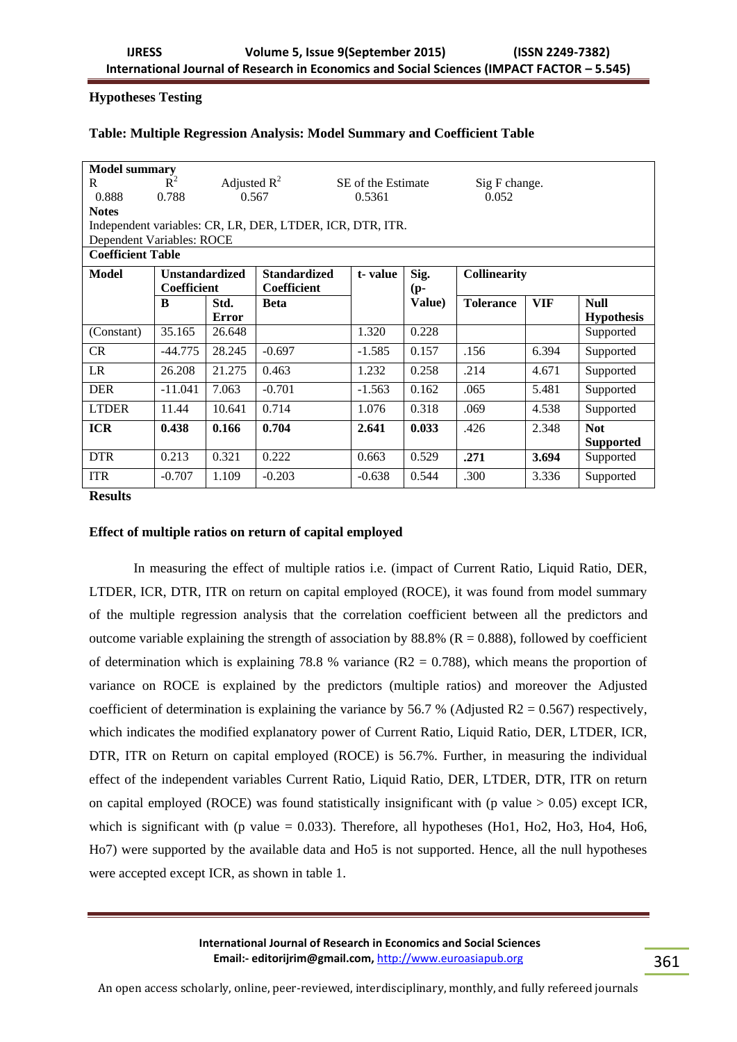# **Hypotheses Testing**

## **Table: Multiple Regression Analysis: Model Summary and Coefficient Table**

| <b>Model summary</b>      |                                                           |              |                          |                    |        |                     |            |                   |  |  |
|---------------------------|-----------------------------------------------------------|--------------|--------------------------|--------------------|--------|---------------------|------------|-------------------|--|--|
| R                         | $\tilde{R}^2$<br>Adjusted $R^2$                           |              |                          |                    |        |                     |            |                   |  |  |
|                           |                                                           |              |                          | SE of the Estimate |        | Sig F change.       |            |                   |  |  |
| 0.888                     | 0.788                                                     |              | 0.052<br>0.567<br>0.5361 |                    |        |                     |            |                   |  |  |
| <b>Notes</b>              |                                                           |              |                          |                    |        |                     |            |                   |  |  |
|                           | Independent variables: CR, LR, DER, LTDER, ICR, DTR, ITR. |              |                          |                    |        |                     |            |                   |  |  |
| Dependent Variables: ROCE |                                                           |              |                          |                    |        |                     |            |                   |  |  |
| <b>Coefficient Table</b>  |                                                           |              |                          |                    |        |                     |            |                   |  |  |
| Model                     | <b>Unstandardized</b><br><b>Standardized</b>              |              |                          | t-value            | Sig.   | <b>Collinearity</b> |            |                   |  |  |
|                           | Coefficient                                               |              | <b>Coefficient</b>       |                    | (p-    |                     |            |                   |  |  |
|                           | B                                                         | Std.         | <b>Beta</b>              |                    | Value) | <b>Tolerance</b>    | <b>VIF</b> | <b>Null</b>       |  |  |
|                           |                                                           | <b>Error</b> |                          |                    |        |                     |            | <b>Hypothesis</b> |  |  |
| (Constant)                | 35.165                                                    | 26.648       |                          | 1.320              | 0.228  |                     |            | Supported         |  |  |
| <b>CR</b>                 | $-44.775$                                                 | 28.245       | $-0.697$                 | $-1.585$           | 0.157  | .156                | 6.394      | Supported         |  |  |
| LR                        | 26.208                                                    | 21.275       | 0.463                    | 1.232              | 0.258  | .214                | 4.671      | Supported         |  |  |
| <b>DER</b>                | $-11.041$                                                 | 7.063        | $-0.701$                 | $-1.563$           | 0.162  | .065                | 5.481      | Supported         |  |  |
| <b>LTDER</b>              | 11.44                                                     | 10.641       | 0.714                    | 1.076              | 0.318  | .069                | 4.538      | Supported         |  |  |
| <b>ICR</b>                | 0.438                                                     | 0.166        | 0.704                    | 2.641              | 0.033  | .426                | 2.348      | <b>Not</b>        |  |  |
|                           |                                                           |              |                          |                    |        |                     |            | <b>Supported</b>  |  |  |
| <b>DTR</b>                | 0.213                                                     | 0.321        | 0.222                    | 0.663              | 0.529  | .271                | 3.694      | Supported         |  |  |
| <b>ITR</b>                | $-0.707$                                                  | 1.109        | $-0.203$                 | $-0.638$           | 0.544  | .300                | 3.336      | Supported         |  |  |

**Results** 

# **Effect of multiple ratios on return of capital employed**

In measuring the effect of multiple ratios i.e. (impact of Current Ratio, Liquid Ratio, DER, LTDER, ICR, DTR, ITR on return on capital employed (ROCE), it was found from model summary of the multiple regression analysis that the correlation coefficient between all the predictors and outcome variable explaining the strength of association by 88.8% ( $R = 0.888$ ), followed by coefficient of determination which is explaining 78.8 % variance  $(R2 = 0.788)$ , which means the proportion of variance on ROCE is explained by the predictors (multiple ratios) and moreover the Adjusted coefficient of determination is explaining the variance by 56.7 % (Adjusted R2 = 0.567) respectively, which indicates the modified explanatory power of Current Ratio, Liquid Ratio, DER, LTDER, ICR, DTR, ITR on Return on capital employed (ROCE) is 56.7%. Further, in measuring the individual effect of the independent variables Current Ratio, Liquid Ratio, DER, LTDER, DTR, ITR on return on capital employed (ROCE) was found statistically insignificant with (p value  $> 0.05$ ) except ICR, which is significant with (p value  $= 0.033$ ). Therefore, all hypotheses (Ho1, Ho2, Ho3, Ho4, Ho6, Ho7) were supported by the available data and Ho5 is not supported. Hence, all the null hypotheses were accepted except ICR, as shown in table 1.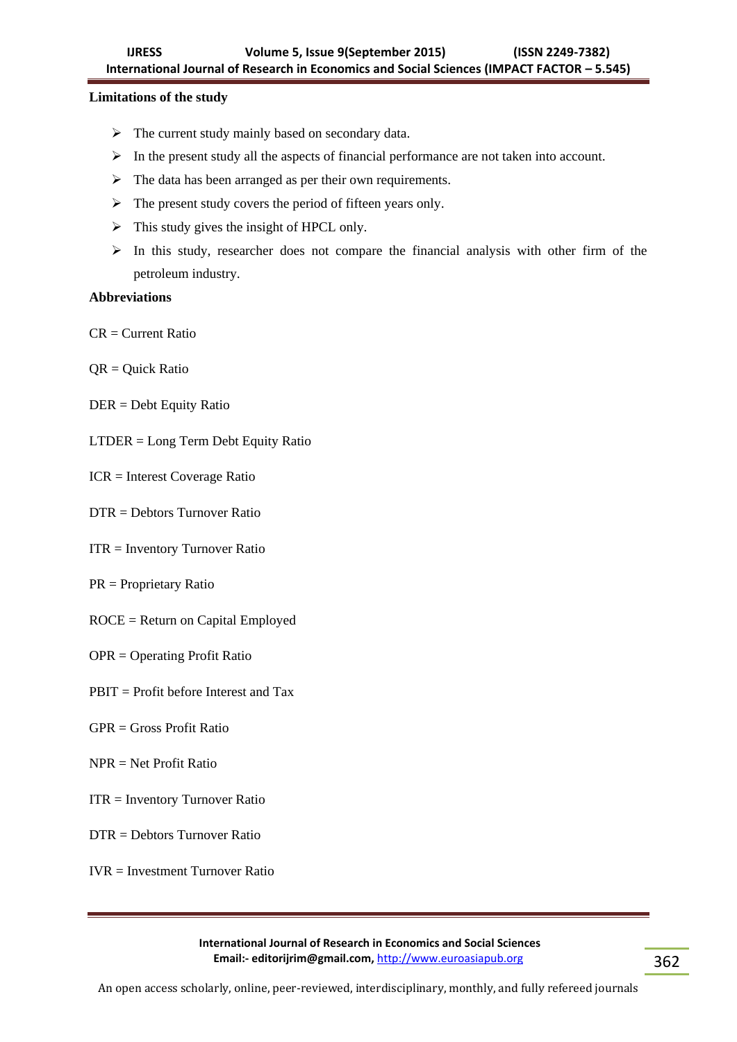# **Limitations of the study**

- $\triangleright$  The current study mainly based on secondary data.
- $\triangleright$  In the present study all the aspects of financial performance are not taken into account.
- $\triangleright$  The data has been arranged as per their own requirements.
- $\triangleright$  The present study covers the period of fifteen years only.
- $\triangleright$  This study gives the insight of HPCL only.
- $\triangleright$  In this study, researcher does not compare the financial analysis with other firm of the petroleum industry.

# **Abbreviations**

 $CR = Current Ratio$ 

- QR = Quick Ratio
- DER = Debt Equity Ratio
- LTDER = Long Term Debt Equity Ratio
- ICR = Interest Coverage Ratio
- DTR = Debtors Turnover Ratio
- ITR = Inventory Turnover Ratio
- PR = Proprietary Ratio
- ROCE = Return on Capital Employed
- OPR = Operating Profit Ratio
- PBIT = Profit before Interest and Tax
- $GPR = Gross Profit Ratio$
- NPR = Net Profit Ratio
- ITR = Inventory Turnover Ratio
- DTR = Debtors Turnover Ratio

IVR = Investment Turnover Ratio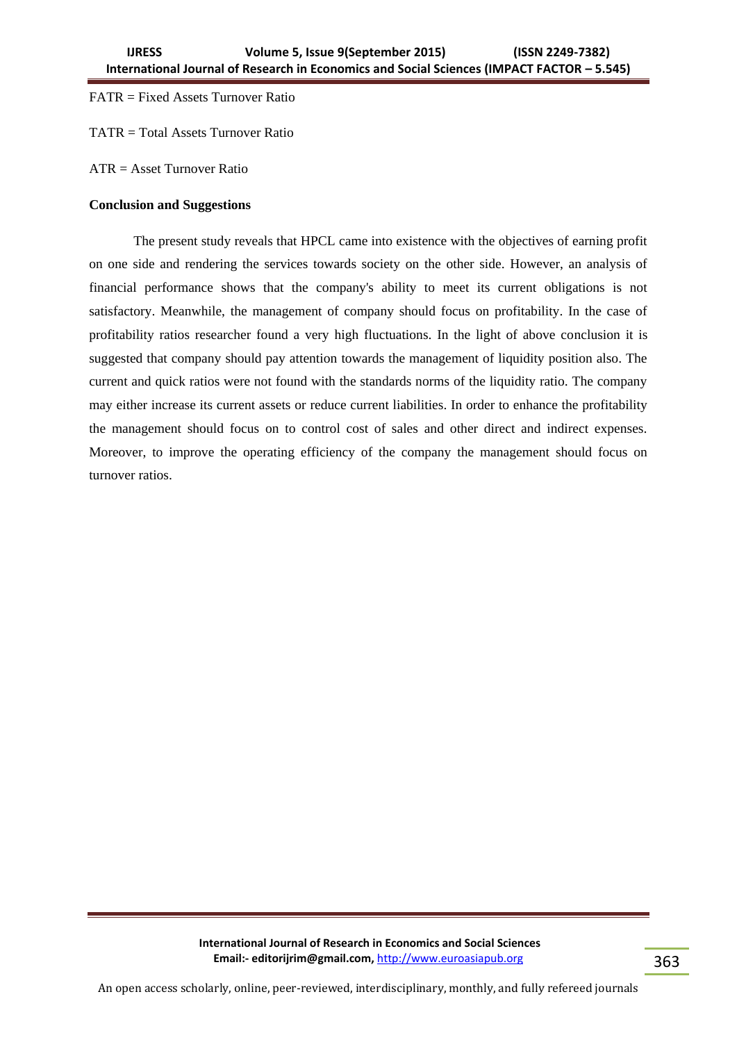# FATR = Fixed Assets Turnover Ratio

TATR = Total Assets Turnover Ratio

ATR = Asset Turnover Ratio

## **Conclusion and Suggestions**

The present study reveals that HPCL came into existence with the objectives of earning profit on one side and rendering the services towards society on the other side. However, an analysis of financial performance shows that the company's ability to meet its current obligations is not satisfactory. Meanwhile, the management of company should focus on profitability. In the case of profitability ratios researcher found a very high fluctuations. In the light of above conclusion it is suggested that company should pay attention towards the management of liquidity position also. The current and quick ratios were not found with the standards norms of the liquidity ratio. The company may either increase its current assets or reduce current liabilities. In order to enhance the profitability the management should focus on to control cost of sales and other direct and indirect expenses. Moreover, to improve the operating efficiency of the company the management should focus on turnover ratios.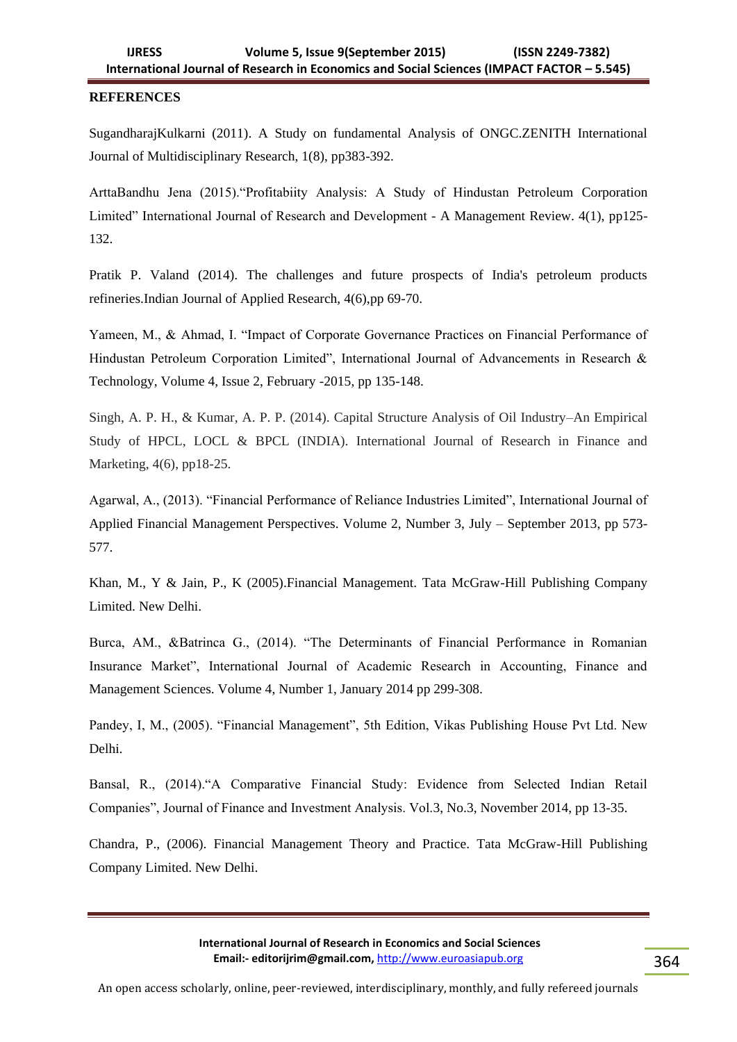# **REFERENCES**

SugandharajKulkarni (2011). A Study on fundamental Analysis of ONGC.ZENITH International Journal of Multidisciplinary Research, 1(8), pp383-392.

ArttaBandhu Jena (2015)."Profitabiity Analysis: A Study of Hindustan Petroleum Corporation Limited" International Journal of Research and Development - A Management Review. 4(1), pp125- 132.

Pratik P. Valand (2014). The challenges and future prospects of India's petroleum products refineries.Indian Journal of Applied Research, 4(6),pp 69-70.

Yameen, M., & Ahmad, I. "Impact of Corporate Governance Practices on Financial Performance of Hindustan Petroleum Corporation Limited", International Journal of Advancements in Research & Technology, Volume 4, Issue 2, February -2015, pp 135-148.

Singh, A. P. H., & Kumar, A. P. P. (2014). Capital Structure Analysis of Oil Industry–An Empirical Study of HPCL, LOCL & BPCL (INDIA). International Journal of Research in Finance and Marketing, 4(6), pp18-25.

Agarwal, A., (2013). "Financial Performance of Reliance Industries Limited", International Journal of Applied Financial Management Perspectives. Volume 2, Number 3, July – September 2013, pp 573- 577.

Khan, M., Y & Jain, P., K (2005).Financial Management. Tata McGraw-Hill Publishing Company Limited. New Delhi.

Burca, AM., &Batrinca G., (2014). "The Determinants of Financial Performance in Romanian Insurance Market", International Journal of Academic Research in Accounting, Finance and Management Sciences. Volume 4, Number 1, January 2014 pp 299-308.

Pandey, I, M., (2005). "Financial Management", 5th Edition, Vikas Publishing House Pvt Ltd. New Delhi.

Bansal, R., (2014)."A Comparative Financial Study: Evidence from Selected Indian Retail Companies", Journal of Finance and Investment Analysis. Vol.3, No.3, November 2014, pp 13-35.

Chandra, P., (2006). Financial Management Theory and Practice. Tata McGraw-Hill Publishing Company Limited. New Delhi.